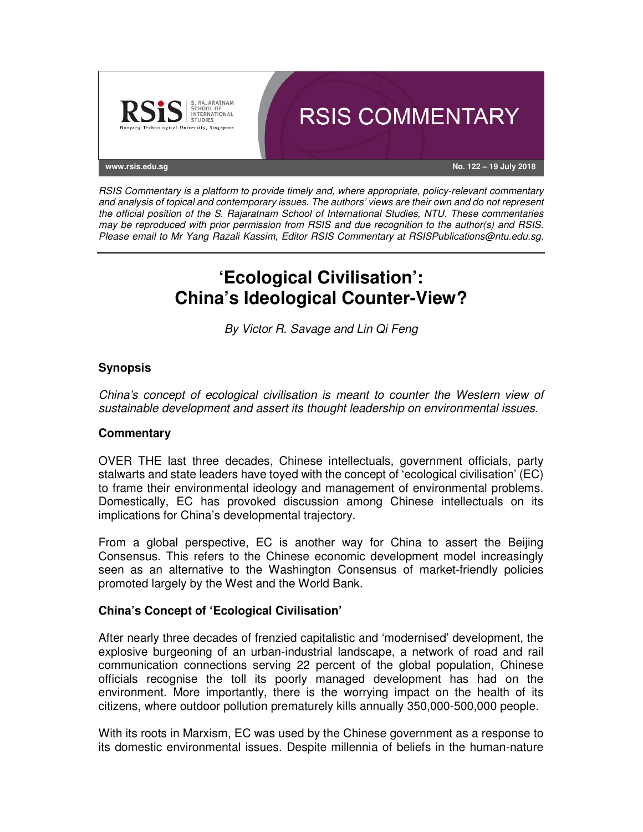

RSIS Commentary is a platform to provide timely and, where appropriate, policy-relevant commentary and analysis of topical and contemporary issues. The authors' views are their own and do not represent the official position of the S. Rajaratnam School of International Studies, NTU. These commentaries may be reproduced with prior permission from RSIS and due recognition to the author(s) and RSIS. Please email to Mr Yang Razali Kassim, Editor RSIS Commentary at RSISPublications@ntu.edu.sg.

# **'Ecological Civilisation': China's Ideological Counter-View?**

By Victor R. Savage and Lin Qi Feng

## **Synopsis**

China's concept of ecological civilisation is meant to counter the Western view of sustainable development and assert its thought leadership on environmental issues.

### **Commentary**

OVER THE last three decades, Chinese intellectuals, government officials, party stalwarts and state leaders have toyed with the concept of 'ecological civilisation' (EC) to frame their environmental ideology and management of environmental problems. Domestically, EC has provoked discussion among Chinese intellectuals on its implications for China's developmental trajectory.

From a global perspective, EC is another way for China to assert the Beijing Consensus. This refers to the Chinese economic development model increasingly seen as an alternative to the Washington Consensus of market-friendly policies promoted largely by the West and the World Bank.

### **China's Concept of 'Ecological Civilisation'**

After nearly three decades of frenzied capitalistic and 'modernised' development, the explosive burgeoning of an urban-industrial landscape, a network of road and rail communication connections serving 22 percent of the global population, Chinese officials recognise the toll its poorly managed development has had on the environment. More importantly, there is the worrying impact on the health of its citizens, where outdoor pollution prematurely kills annually 350,000-500,000 people.

With its roots in Marxism, EC was used by the Chinese government as a response to its domestic environmental issues. Despite millennia of beliefs in the human-nature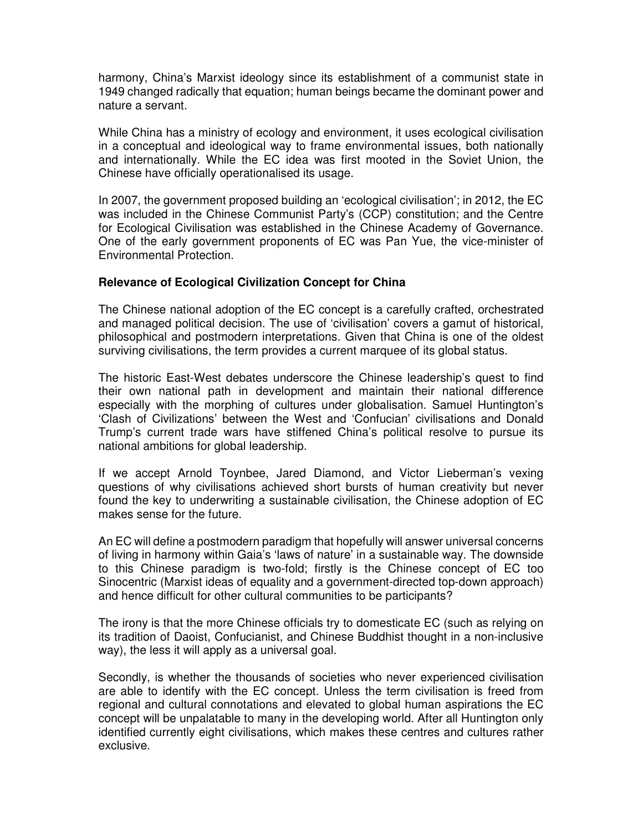harmony, China's Marxist ideology since its establishment of a communist state in 1949 changed radically that equation; human beings became the dominant power and nature a servant.

While China has a ministry of ecology and environment, it uses ecological civilisation in a conceptual and ideological way to frame environmental issues, both nationally and internationally. While the EC idea was first mooted in the Soviet Union, the Chinese have officially operationalised its usage.

In 2007, the government proposed building an 'ecological civilisation'; in 2012, the EC was included in the Chinese Communist Party's (CCP) constitution; and the Centre for Ecological Civilisation was established in the Chinese Academy of Governance. One of the early government proponents of EC was Pan Yue, the vice-minister of Environmental Protection.

#### **Relevance of Ecological Civilization Concept for China**

The Chinese national adoption of the EC concept is a carefully crafted, orchestrated and managed political decision. The use of 'civilisation' covers a gamut of historical, philosophical and postmodern interpretations. Given that China is one of the oldest surviving civilisations, the term provides a current marquee of its global status.

The historic East-West debates underscore the Chinese leadership's quest to find their own national path in development and maintain their national difference especially with the morphing of cultures under globalisation. Samuel Huntington's 'Clash of Civilizations' between the West and 'Confucian' civilisations and Donald Trump's current trade wars have stiffened China's political resolve to pursue its national ambitions for global leadership.

If we accept Arnold Toynbee, Jared Diamond, and Victor Lieberman's vexing questions of why civilisations achieved short bursts of human creativity but never found the key to underwriting a sustainable civilisation, the Chinese adoption of EC makes sense for the future.

An EC will define a postmodern paradigm that hopefully will answer universal concerns of living in harmony within Gaia's 'laws of nature' in a sustainable way. The downside to this Chinese paradigm is two-fold; firstly is the Chinese concept of EC too Sinocentric (Marxist ideas of equality and a government-directed top-down approach) and hence difficult for other cultural communities to be participants?

The irony is that the more Chinese officials try to domesticate EC (such as relying on its tradition of Daoist, Confucianist, and Chinese Buddhist thought in a non-inclusive way), the less it will apply as a universal goal.

Secondly, is whether the thousands of societies who never experienced civilisation are able to identify with the EC concept. Unless the term civilisation is freed from regional and cultural connotations and elevated to global human aspirations the EC concept will be unpalatable to many in the developing world. After all Huntington only identified currently eight civilisations, which makes these centres and cultures rather exclusive.